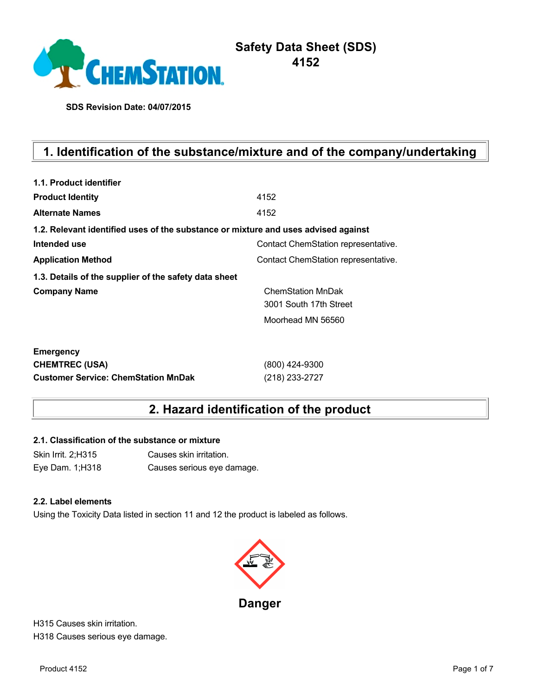

# **Safety Data Sheet (SDS) 4152**

**SDS Revision Date: 04/07/2015**

# **1. Identification of the substance/mixture and of the company/undertaking**

| 1.1. Product identifier                                                            |                                     |  |  |  |
|------------------------------------------------------------------------------------|-------------------------------------|--|--|--|
| <b>Product Identity</b>                                                            | 4152                                |  |  |  |
| <b>Alternate Names</b>                                                             | 4152                                |  |  |  |
| 1.2. Relevant identified uses of the substance or mixture and uses advised against |                                     |  |  |  |
| Intended use                                                                       | Contact ChemStation representative. |  |  |  |
| <b>Application Method</b>                                                          | Contact ChemStation representative. |  |  |  |
| 1.3. Details of the supplier of the safety data sheet                              |                                     |  |  |  |
| <b>Company Name</b>                                                                | <b>ChemStation MnDak</b>            |  |  |  |
|                                                                                    | 3001 South 17th Street              |  |  |  |
|                                                                                    | Moorhead MN 56560                   |  |  |  |
| <b>Emergency</b>                                                                   |                                     |  |  |  |
| <b>CHEMTREC (USA)</b>                                                              | (800) 424-9300                      |  |  |  |
| <b>Customer Service: ChemStation MnDak</b>                                         | (218) 233-2727                      |  |  |  |

# **2. Hazard identification of the product**

### **2.1. Classification of the substance or mixture**

Skin Irrit. 2;H315 Causes skin irritation. Eye Dam. 1;H318 Causes serious eye damage.

### **2.2. Label elements**

Using the Toxicity Data listed in section 11 and 12 the product is labeled as follows.



H315 Causes skin irritation. H318 Causes serious eye damage.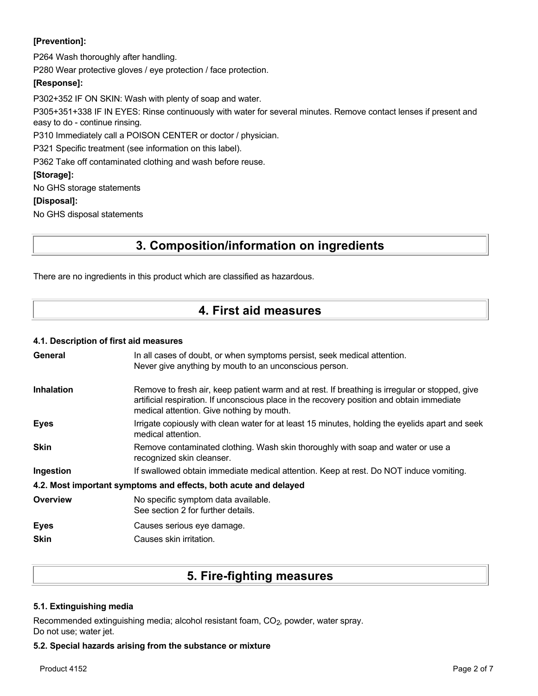### **[Prevention]:**

P264 Wash thoroughly after handling.

P280 Wear protective gloves / eye protection / face protection.

### **[Response]:**

P302+352 IF ON SKIN: Wash with plenty of soap and water. P305+351+338 IF IN EYES: Rinse continuously with water for several minutes. Remove contact lenses if present and easy to do - continue rinsing. P310 Immediately call a POISON CENTER or doctor / physician.

P321 Specific treatment (see information on this label).

P362 Take off contaminated clothing and wash before reuse.

### **[Storage]:**

No GHS storage statements

### **[Disposal]:**

No GHS disposal statements

# **3. Composition/information on ingredients**

There are no ingredients in this product which are classified as hazardous.

# **4. First aid measures**

### **4.1. Description of first aid measures**

| General                                                          | In all cases of doubt, or when symptoms persist, seek medical attention.<br>Never give anything by mouth to an unconscious person.                                                                                                        |  |  |  |
|------------------------------------------------------------------|-------------------------------------------------------------------------------------------------------------------------------------------------------------------------------------------------------------------------------------------|--|--|--|
| <b>Inhalation</b>                                                | Remove to fresh air, keep patient warm and at rest. If breathing is irregular or stopped, give<br>artificial respiration. If unconscious place in the recovery position and obtain immediate<br>medical attention. Give nothing by mouth. |  |  |  |
| <b>Eyes</b>                                                      | Irrigate copiously with clean water for at least 15 minutes, holding the eyelids apart and seek<br>medical attention.                                                                                                                     |  |  |  |
| <b>Skin</b>                                                      | Remove contaminated clothing. Wash skin thoroughly with soap and water or use a<br>recognized skin cleanser.                                                                                                                              |  |  |  |
| Ingestion                                                        | If swallowed obtain immediate medical attention. Keep at rest. Do NOT induce vomiting.                                                                                                                                                    |  |  |  |
| 4.2. Most important symptoms and effects, both acute and delayed |                                                                                                                                                                                                                                           |  |  |  |
| Overview                                                         | No specific symptom data available.<br>See section 2 for further details.                                                                                                                                                                 |  |  |  |
| <b>Eyes</b><br><b>Skin</b>                                       | Causes serious eye damage.<br>Causes skin irritation.                                                                                                                                                                                     |  |  |  |

# **5. Fire-fighting measures**

### **5.1. Extinguishing media**

Recommended extinguishing media; alcohol resistant foam, CO<sub>2</sub>, powder, water spray. Do not use; water jet.

### **5.2. Special hazards arising from the substance or mixture**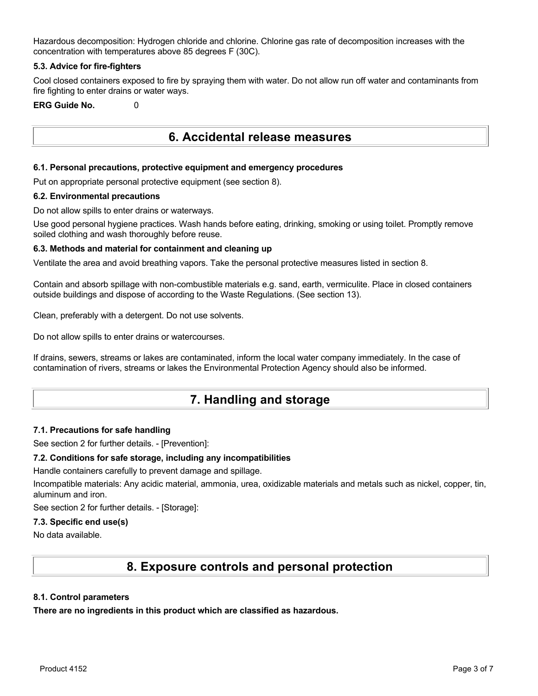Hazardous decomposition: Hydrogen chloride and chlorine. Chlorine gas rate of decomposition increases with the concentration with temperatures above 85 degrees F (30C).

### **5.3. Advice for fire-fighters**

Cool closed containers exposed to fire by spraying them with water. Do not allow run off water and contaminants from fire fighting to enter drains or water ways.

### **ERG Guide No.** 0

## **6. Accidental release measures**

### **6.1. Personal precautions, protective equipment and emergency procedures**

Put on appropriate personal protective equipment (see section 8).

### **6.2. Environmental precautions**

Do not allow spills to enter drains or waterways.

Use good personal hygiene practices. Wash hands before eating, drinking, smoking or using toilet. Promptly remove soiled clothing and wash thoroughly before reuse.

### **6.3. Methods and material for containment and cleaning up**

Ventilate the area and avoid breathing vapors. Take the personal protective measures listed in section 8.

Contain and absorb spillage with non-combustible materials e.g. sand, earth, vermiculite. Place in closed containers outside buildings and dispose of according to the Waste Regulations. (See section 13).

Clean, preferably with a detergent. Do not use solvents.

Do not allow spills to enter drains or watercourses.

If drains, sewers, streams or lakes are contaminated, inform the local water company immediately. In the case of contamination of rivers, streams or lakes the Environmental Protection Agency should also be informed.

# **7. Handling and storage**

### **7.1. Precautions for safe handling**

See section 2 for further details. - [Prevention]:

### **7.2. Conditions for safe storage, including any incompatibilities**

Handle containers carefully to prevent damage and spillage.

Incompatible materials: Any acidic material, ammonia, urea, oxidizable materials and metals such as nickel, copper, tin, aluminum and iron.

See section 2 for further details. - [Storage]:

### **7.3. Specific end use(s)**

No data available.

## **8. Exposure controls and personal protection**

### **8.1. Control parameters**

**There are no ingredients in this product which are classified as hazardous.**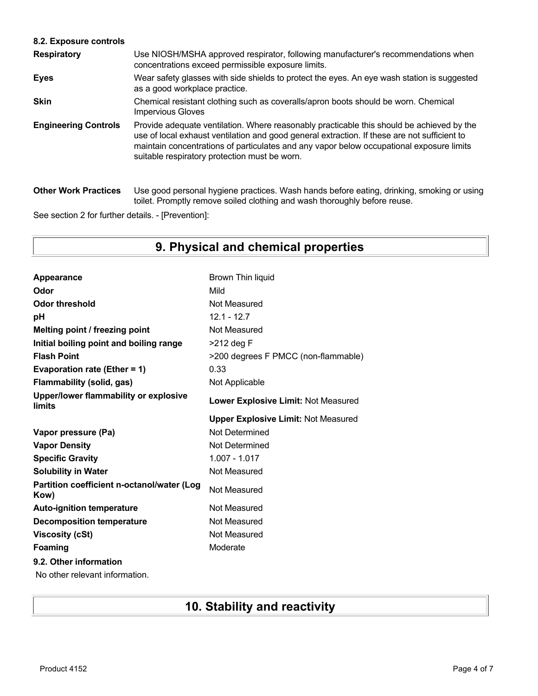## **8.2. Exposure controls**

| <b>Respiratory</b>          | Use NIOSH/MSHA approved respirator, following manufacturer's recommendations when<br>concentrations exceed permissible exposure limits.                                                                                                                                                                                                |
|-----------------------------|----------------------------------------------------------------------------------------------------------------------------------------------------------------------------------------------------------------------------------------------------------------------------------------------------------------------------------------|
| <b>Eyes</b>                 | Wear safety glasses with side shields to protect the eyes. An eye wash station is suggested<br>as a good workplace practice.                                                                                                                                                                                                           |
| <b>Skin</b>                 | Chemical resistant clothing such as coveralls/apron boots should be worn. Chemical<br><b>Impervious Gloves</b>                                                                                                                                                                                                                         |
| <b>Engineering Controls</b> | Provide adequate ventilation. Where reasonably practicable this should be achieved by the<br>use of local exhaust ventilation and good general extraction. If these are not sufficient to<br>maintain concentrations of particulates and any vapor below occupational exposure limits<br>suitable respiratory protection must be worn. |
| <b>Other Work Practices</b> | Use good personal hygiene practices. Wash hands before eating, drinking, smoking or using<br>toilet. Promptly remove soiled clothing and wash thoroughly before reuse.                                                                                                                                                                 |

See section 2 for further details. - [Prevention]:

# **9. Physical and chemical properties**

| Appearance                                         | Brown Thin liquid                          |
|----------------------------------------------------|--------------------------------------------|
| Odor                                               | Mild                                       |
| <b>Odor threshold</b>                              | Not Measured                               |
| рH                                                 | $12.1 - 12.7$                              |
| Melting point / freezing point                     | Not Measured                               |
| Initial boiling point and boiling range            | >212 deg F                                 |
| <b>Flash Point</b>                                 | >200 degrees F PMCC (non-flammable)        |
| Evaporation rate (Ether = 1)                       | 0.33                                       |
| <b>Flammability (solid, gas)</b>                   | Not Applicable                             |
| Upper/lower flammability or explosive<br>limits    | Lower Explosive Limit: Not Measured        |
|                                                    | <b>Upper Explosive Limit: Not Measured</b> |
|                                                    |                                            |
| Vapor pressure (Pa)                                | Not Determined                             |
| <b>Vapor Density</b>                               | Not Determined                             |
| <b>Specific Gravity</b>                            | 1.007 - 1.017                              |
| <b>Solubility in Water</b>                         | Not Measured                               |
| Partition coefficient n-octanol/water (Log<br>Kow) | Not Measured                               |
| <b>Auto-ignition temperature</b>                   | Not Measured                               |
| <b>Decomposition temperature</b>                   | Not Measured                               |
| <b>Viscosity (cSt)</b>                             | Not Measured                               |
| Foaming                                            | Moderate                                   |
| 9.2. Other information                             |                                            |

# **10. Stability and reactivity**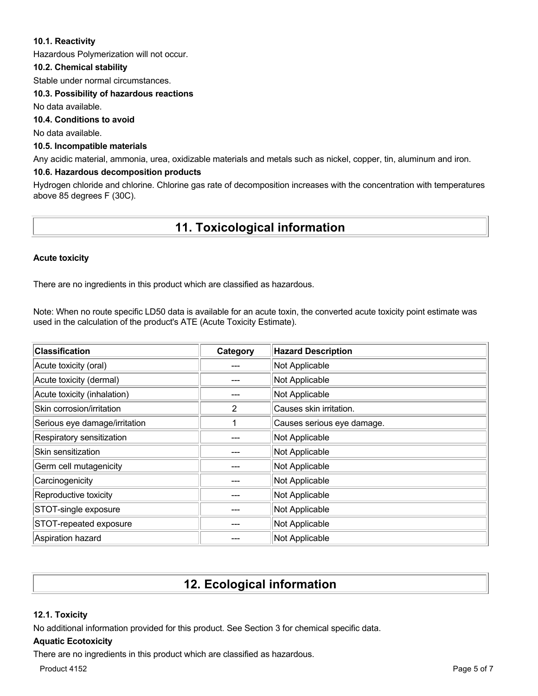### **10.1. Reactivity**

Hazardous Polymerization will not occur.

### **10.2. Chemical stability**

Stable under normal circumstances.

### **10.3. Possibility of hazardous reactions**

No data available.

### **10.4. Conditions to avoid**

No data available.

### **10.5. Incompatible materials**

Any acidic material, ammonia, urea, oxidizable materials and metals such as nickel, copper, tin, aluminum and iron.

### **10.6. Hazardous decomposition products**

Hydrogen chloride and chlorine. Chlorine gas rate of decomposition increases with the concentration with temperatures above 85 degrees F (30C).

# **11. Toxicological information**

### **Acute toxicity**

There are no ingredients in this product which are classified as hazardous.

Note: When no route specific LD50 data is available for an acute toxin, the converted acute toxicity point estimate was used in the calculation of the product's ATE (Acute Toxicity Estimate).

| <b>Classification</b>         | Category | <b>Hazard Description</b>  |
|-------------------------------|----------|----------------------------|
| Acute toxicity (oral)         |          | Not Applicable             |
| Acute toxicity (dermal)       |          | Not Applicable             |
| Acute toxicity (inhalation)   |          | Not Applicable             |
| Skin corrosion/irritation     | 2        | Causes skin irritation.    |
| Serious eye damage/irritation |          | Causes serious eye damage. |
| Respiratory sensitization     |          | Not Applicable             |
| Skin sensitization            |          | Not Applicable             |
| Germ cell mutagenicity        |          | Not Applicable             |
| Carcinogenicity               |          | Not Applicable             |
| Reproductive toxicity         |          | Not Applicable             |
| STOT-single exposure          |          | Not Applicable             |
| STOT-repeated exposure        |          | Not Applicable             |
| Aspiration hazard             |          | Not Applicable             |

## **12. Ecological information**

### **12.1. Toxicity**

No additional information provided for this product. See Section 3 for chemical specific data.

### **Aquatic Ecotoxicity**

There are no ingredients in this product which are classified as hazardous.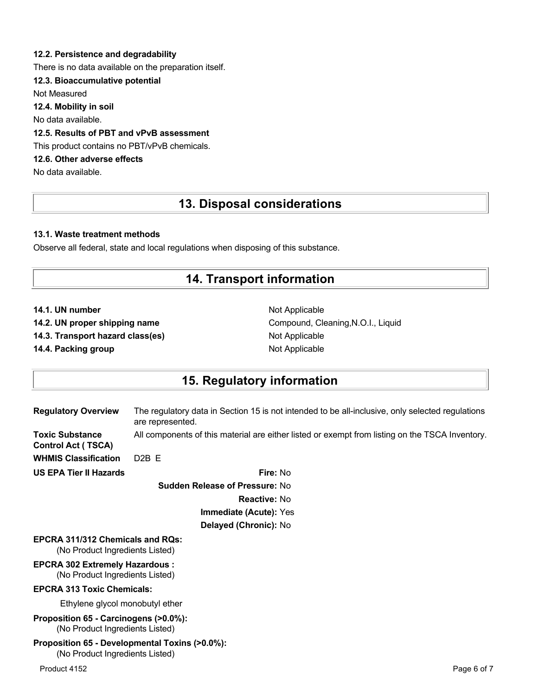### **12.2. Persistence and degradability**

There is no data available on the preparation itself.

### **12.3. Bioaccumulative potential**

Not Measured

**12.4. Mobility in soil**

No data available.

### **12.5. Results of PBT and vPvB assessment**

This product contains no PBT/vPvB chemicals.

### **12.6. Other adverse effects**

No data available.

## **13. Disposal considerations**

### **13.1. Waste treatment methods**

Observe all federal, state and local regulations when disposing of this substance.

# **14. Transport information**

- **14.1. UN number** Not Applicable
- 
- **14.3. Transport hazard class(es)** Not Applicable

**14.4. Packing group Contract Contract Applicable** Not Applicable

**14.2. UN proper shipping name** Compound, Cleaning, N.O.I., Liquid

## **15. Regulatory information**

| <b>Regulatory Overview</b>                                                        | The regulatory data in Section 15 is not intended to be all-inclusive, only selected regulations<br>are represented. |             |
|-----------------------------------------------------------------------------------|----------------------------------------------------------------------------------------------------------------------|-------------|
| <b>Toxic Substance</b><br><b>Control Act (TSCA)</b>                               | All components of this material are either listed or exempt from listing on the TSCA Inventory.                      |             |
| <b>WHMIS Classification</b>                                                       | $D2B$ F                                                                                                              |             |
| <b>US EPA Tier II Hazards</b>                                                     | Fire: No                                                                                                             |             |
|                                                                                   | <b>Sudden Release of Pressure: No</b>                                                                                |             |
|                                                                                   | <b>Reactive: No</b>                                                                                                  |             |
|                                                                                   | <b>Immediate (Acute): Yes</b>                                                                                        |             |
|                                                                                   | Delayed (Chronic): No                                                                                                |             |
| <b>EPCRA 311/312 Chemicals and ROs:</b><br>(No Product Ingredients Listed)        |                                                                                                                      |             |
| <b>EPCRA 302 Extremely Hazardous:</b><br>(No Product Ingredients Listed)          |                                                                                                                      |             |
| <b>EPCRA 313 Toxic Chemicals:</b>                                                 |                                                                                                                      |             |
| Ethylene glycol monobutyl ether                                                   |                                                                                                                      |             |
| Proposition 65 - Carcinogens (>0.0%):<br>(No Product Ingredients Listed)          |                                                                                                                      |             |
| Proposition 65 - Developmental Toxins (>0.0%):<br>(No Product Ingredients Listed) |                                                                                                                      |             |
| Product 4152                                                                      |                                                                                                                      | Page 6 of 7 |